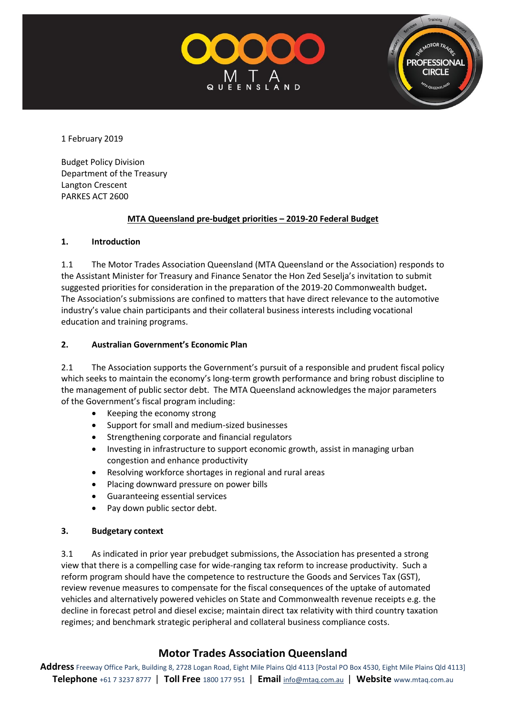



1 February 2019

Budget Policy Division Department of the Treasury Langton Crescent PARKES ACT 2600

#### **MTA Queensland pre-budget priorities – 2019-20 Federal Budget**

#### **1. Introduction**

1.1 The Motor Trades Association Queensland (MTA Queensland or the Association) responds to the Assistant Minister for Treasury and Finance Senator the Hon Zed Seselja's invitation to submit suggested priorities for consideration in the preparation of the 2019-20 Commonwealth budget**.**  The Association's submissions are confined to matters that have direct relevance to the automotive industry's value chain participants and their collateral business interests including vocational education and training programs.

#### **2. Australian Government's Economic Plan**

2.1 The Association supports the Government's pursuit of a responsible and prudent fiscal policy which seeks to maintain the economy's long-term growth performance and bring robust discipline to the management of public sector debt. The MTA Queensland acknowledges the major parameters of the Government's fiscal program including:

- Keeping the economy strong
- Support for small and medium-sized businesses
- Strengthening corporate and financial regulators
- Investing in infrastructure to support economic growth, assist in managing urban congestion and enhance productivity
- Resolving workforce shortages in regional and rural areas
- Placing downward pressure on power bills
- Guaranteeing essential services
- Pay down public sector debt.

#### **3. Budgetary context**

3.1 As indicated in prior year prebudget submissions, the Association has presented a strong view that there is a compelling case for wide-ranging tax reform to increase productivity. Such a reform program should have the competence to restructure the Goods and Services Tax (GST), review revenue measures to compensate for the fiscal consequences of the uptake of automated vehicles and alternatively powered vehicles on State and Commonwealth revenue receipts e.g. the decline in forecast petrol and diesel excise; maintain direct tax relativity with third country taxation regimes; and benchmark strategic peripheral and collateral business compliance costs.

# **Motor Trades Association Queensland**

**Address** Freeway Office Park, Building 8, 2728 Logan Road, Eight Mile Plains Qld 4113 [Postal PO Box 4530, Eight Mile Plains Qld 4113] **Telephone** +61 7 3237 8777 | **Toll Free** 1800 177 951 | **Email** [info@mtaq.com.au](mailto:info@mtaq.com.au) | **Website** www.mtaq.com.au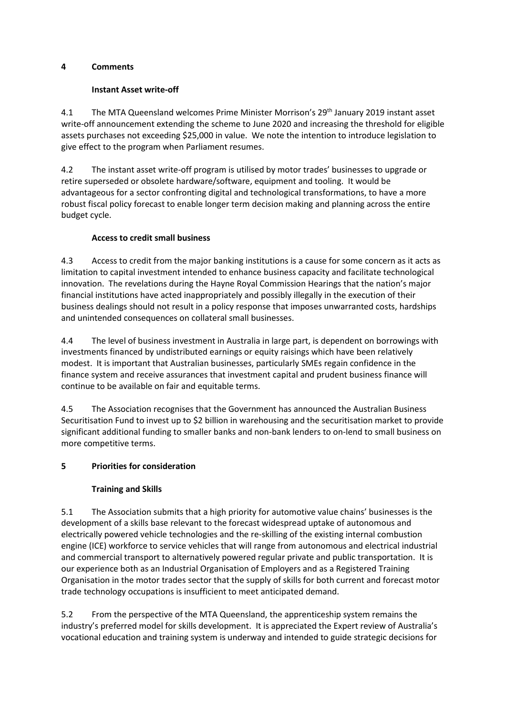#### **4 Comments**

### **Instant Asset write-off**

4.1 The MTA Queensland welcomes Prime Minister Morrison's 29<sup>th</sup> January 2019 instant asset write-off announcement extending the scheme to June 2020 and increasing the threshold for eligible assets purchases not exceeding \$25,000 in value. We note the intention to introduce legislation to give effect to the program when Parliament resumes.

4.2 The instant asset write-off program is utilised by motor trades' businesses to upgrade or retire superseded or obsolete hardware/software, equipment and tooling. It would be advantageous for a sector confronting digital and technological transformations, to have a more robust fiscal policy forecast to enable longer term decision making and planning across the entire budget cycle.

### **Access to credit small business**

4.3 Access to credit from the major banking institutions is a cause for some concern as it acts as limitation to capital investment intended to enhance business capacity and facilitate technological innovation. The revelations during the Hayne Royal Commission Hearings that the nation's major financial institutions have acted inappropriately and possibly illegally in the execution of their business dealings should not result in a policy response that imposes unwarranted costs, hardships and unintended consequences on collateral small businesses.

4.4 The level of business investment in Australia in large part, is dependent on borrowings with investments financed by undistributed earnings or equity raisings which have been relatively modest. It is important that Australian businesses, particularly SMEs regain confidence in the finance system and receive assurances that investment capital and prudent business finance will continue to be available on fair and equitable terms.

4.5 The Association recognises that the Government has announced the Australian Business Securitisation Fund to invest up to \$2 billion in warehousing and the securitisation market to provide significant additional funding to smaller banks and non-bank lenders to on-lend to small business on more competitive terms.

# **5 Priorities for consideration**

# **Training and Skills**

5.1 The Association submits that a high priority for automotive value chains' businesses is the development of a skills base relevant to the forecast widespread uptake of autonomous and electrically powered vehicle technologies and the re-skilling of the existing internal combustion engine (ICE) workforce to service vehicles that will range from autonomous and electrical industrial and commercial transport to alternatively powered regular private and public transportation. It is our experience both as an Industrial Organisation of Employers and as a Registered Training Organisation in the motor trades sector that the supply of skills for both current and forecast motor trade technology occupations is insufficient to meet anticipated demand.

5.2 From the perspective of the MTA Queensland, the apprenticeship system remains the industry's preferred model for skills development. It is appreciated the Expert review of Australia's vocational education and training system is underway and intended to guide strategic decisions for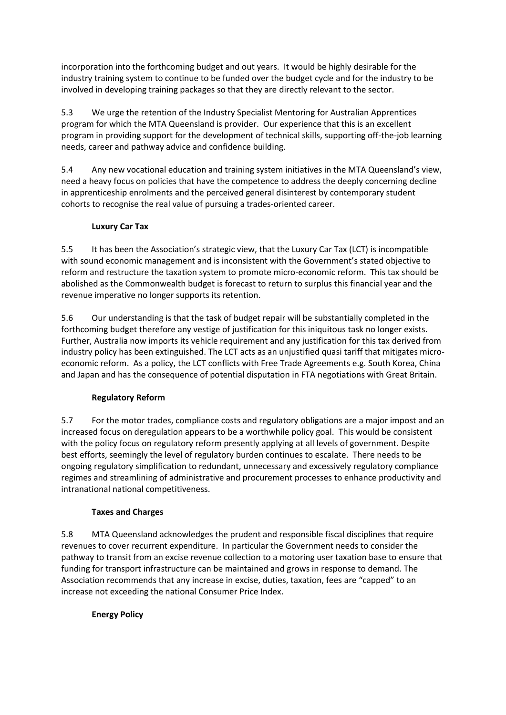incorporation into the forthcoming budget and out years. It would be highly desirable for the industry training system to continue to be funded over the budget cycle and for the industry to be involved in developing training packages so that they are directly relevant to the sector.

5.3 We urge the retention of the Industry Specialist Mentoring for Australian Apprentices program for which the MTA Queensland is provider. Our experience that this is an excellent program in providing support for the development of technical skills, supporting off-the-job learning needs, career and pathway advice and confidence building.

5.4 Any new vocational education and training system initiatives in the MTA Queensland's view, need a heavy focus on policies that have the competence to address the deeply concerning decline in apprenticeship enrolments and the perceived general disinterest by contemporary student cohorts to recognise the real value of pursuing a trades-oriented career.

# **Luxury Car Tax**

5.5 It has been the Association's strategic view, that the Luxury Car Tax (LCT) is incompatible with sound economic management and is inconsistent with the Government's stated objective to reform and restructure the taxation system to promote micro-economic reform. This tax should be abolished as the Commonwealth budget is forecast to return to surplus this financial year and the revenue imperative no longer supports its retention.

5.6 Our understanding is that the task of budget repair will be substantially completed in the forthcoming budget therefore any vestige of justification for this iniquitous task no longer exists. Further, Australia now imports its vehicle requirement and any justification for this tax derived from industry policy has been extinguished. The LCT acts as an unjustified quasi tariff that mitigates microeconomic reform. As a policy, the LCT conflicts with Free Trade Agreements e.g. South Korea, China and Japan and has the consequence of potential disputation in FTA negotiations with Great Britain.

# **Regulatory Reform**

5.7 For the motor trades, compliance costs and regulatory obligations are a major impost and an increased focus on deregulation appears to be a worthwhile policy goal. This would be consistent with the policy focus on regulatory reform presently applying at all levels of government. Despite best efforts, seemingly the level of regulatory burden continues to escalate. There needs to be ongoing regulatory simplification to redundant, unnecessary and excessively regulatory compliance regimes and streamlining of administrative and procurement processes to enhance productivity and intranational national competitiveness.

#### **Taxes and Charges**

5.8 MTA Queensland acknowledges the prudent and responsible fiscal disciplines that require revenues to cover recurrent expenditure. In particular the Government needs to consider the pathway to transit from an excise revenue collection to a motoring user taxation base to ensure that funding for transport infrastructure can be maintained and grows in response to demand. The Association recommends that any increase in excise, duties, taxation, fees are "capped" to an increase not exceeding the national Consumer Price Index.

# **Energy Policy**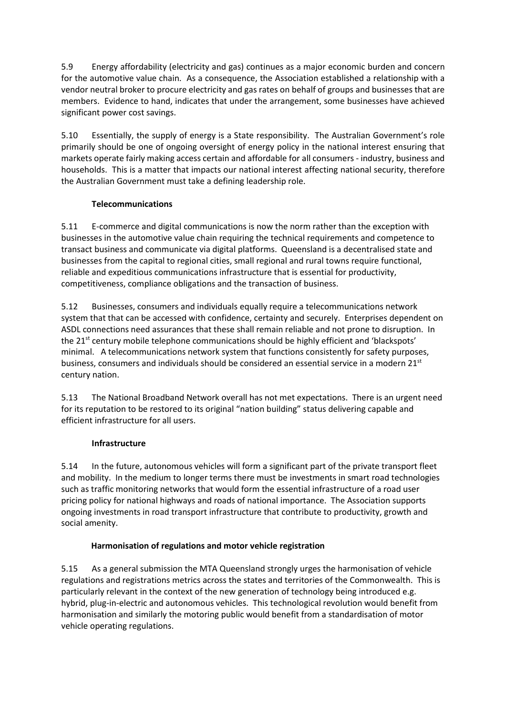5.9 Energy affordability (electricity and gas) continues as a major economic burden and concern for the automotive value chain. As a consequence, the Association established a relationship with a vendor neutral broker to procure electricity and gas rates on behalf of groups and businesses that are members. Evidence to hand, indicates that under the arrangement, some businesses have achieved significant power cost savings.

5.10 Essentially, the supply of energy is a State responsibility. The Australian Government's role primarily should be one of ongoing oversight of energy policy in the national interest ensuring that markets operate fairly making access certain and affordable for all consumers - industry, business and households. This is a matter that impacts our national interest affecting national security, therefore the Australian Government must take a defining leadership role.

# **Telecommunications**

5.11 E-commerce and digital communications is now the norm rather than the exception with businesses in the automotive value chain requiring the technical requirements and competence to transact business and communicate via digital platforms. Queensland is a decentralised state and businesses from the capital to regional cities, small regional and rural towns require functional, reliable and expeditious communications infrastructure that is essential for productivity, competitiveness, compliance obligations and the transaction of business.

5.12 Businesses, consumers and individuals equally require a telecommunications network system that that can be accessed with confidence, certainty and securely. Enterprises dependent on ASDL connections need assurances that these shall remain reliable and not prone to disruption. In the  $21<sup>st</sup>$  century mobile telephone communications should be highly efficient and 'blackspots' minimal. A telecommunications network system that functions consistently for safety purposes, business, consumers and individuals should be considered an essential service in a modern  $21<sup>st</sup>$ century nation.

5.13 The National Broadband Network overall has not met expectations. There is an urgent need for its reputation to be restored to its original "nation building" status delivering capable and efficient infrastructure for all users.

# **Infrastructure**

5.14 In the future, autonomous vehicles will form a significant part of the private transport fleet and mobility. In the medium to longer terms there must be investments in smart road technologies such as traffic monitoring networks that would form the essential infrastructure of a road user pricing policy for national highways and roads of national importance. The Association supports ongoing investments in road transport infrastructure that contribute to productivity, growth and social amenity.

# **Harmonisation of regulations and motor vehicle registration**

5.15 As a general submission the MTA Queensland strongly urges the harmonisation of vehicle regulations and registrations metrics across the states and territories of the Commonwealth. This is particularly relevant in the context of the new generation of technology being introduced e.g. hybrid, plug-in-electric and autonomous vehicles. This technological revolution would benefit from harmonisation and similarly the motoring public would benefit from a standardisation of motor vehicle operating regulations.